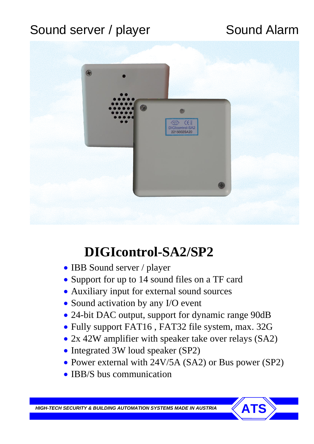## Sound server / player Sound Alarm



# **DIGIcontrol-SA2/SP2**

- IBB Sound server / player
- Support for up to 14 sound files on a TF card
- Auxiliary input for external sound sources
- Sound activation by any I/O event
- 24-bit DAC output, support for dynamic range 90dB
- Fully support FAT16 , FAT32 file system, max. 32G
- 2x 42W amplifier with speaker take over relays (SA2)
- Integrated 3W loud speaker (SP2)
- Power external with 24V/5A (SA2) or Bus power (SP2)
- IBB/S bus communication

**HIGH-TECH SECURITY & BUILDING AUTOMATION SYSTEMS MADE IN AUSTRIA**